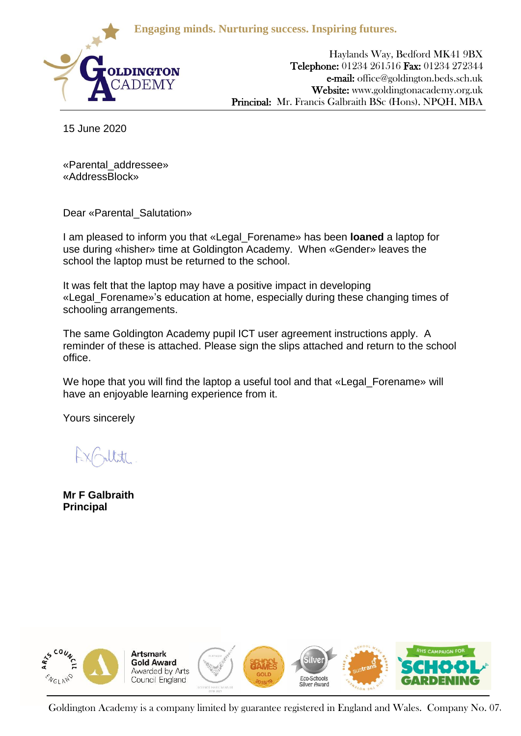**Engaging minds. Nurturing success. Inspiring futures.**



Haylands Way, Bedford MK41 9BX Telephone: 01234 261516 Fax: 01234 272344 e-mail: office@goldington.beds.sch.uk Website: www.goldingtonacademy.org.uk Principal: Mr. Francis Galbraith BSc (Hons), NPQH, MBA

15 June 2020

«Parental\_addressee» «AddressBlock»

Dear «Parental\_Salutation»

I am pleased to inform you that «Legal\_Forename» has been **loaned** a laptop for use during «hisher» time at Goldington Academy. When «Gender» leaves the school the laptop must be returned to the school.

It was felt that the laptop may have a positive impact in developing «Legal\_Forename»'s education at home, especially during these changing times of schooling arrangements.

The same Goldington Academy pupil ICT user agreement instructions apply. A reminder of these is attached. Please sign the slips attached and return to the school office.

We hope that you will find the laptop a useful tool and that «Legal Forename» will have an enjoyable learning experience from it.

Yours sincerely

**Mr F Galbraith Principal**



Goldington Academy is a company limited by guarantee registered in England and Wales. Company No. 07.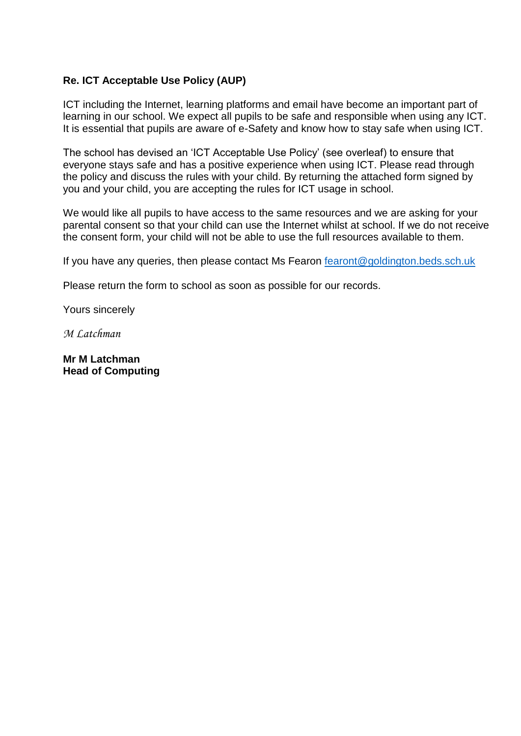# **Re. ICT Acceptable Use Policy (AUP)**

ICT including the Internet, learning platforms and email have become an important part of learning in our school. We expect all pupils to be safe and responsible when using any ICT. It is essential that pupils are aware of e-Safety and know how to stay safe when using ICT.

The school has devised an 'ICT Acceptable Use Policy' (see overleaf) to ensure that everyone stays safe and has a positive experience when using ICT. Please read through the policy and discuss the rules with your child. By returning the attached form signed by you and your child, you are accepting the rules for ICT usage in school.

We would like all pupils to have access to the same resources and we are asking for your parental consent so that your child can use the Internet whilst at school. If we do not receive the consent form, your child will not be able to use the full resources available to them.

If you have any queries, then please contact Ms Fearon [fearont@goldington.beds.sch.uk](mailto:fearont@goldington.beds.sch.uk)

Please return the form to school as soon as possible for our records.

Yours sincerely

*M Latchman*

**Mr M Latchman Head of Computing**